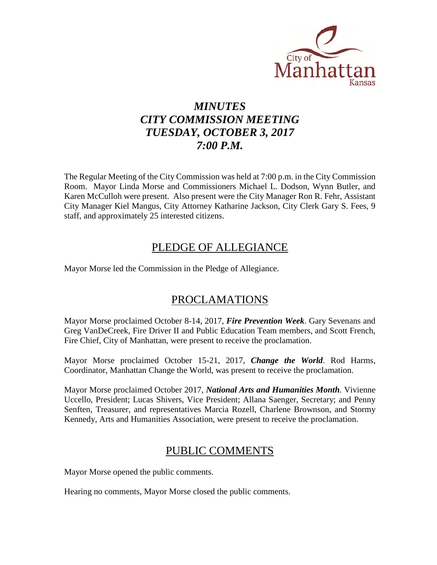

# *MINUTES CITY COMMISSION MEETING TUESDAY, OCTOBER 3, 2017 7:00 P.M.*

The Regular Meeting of the City Commission was held at 7:00 p.m. in the City Commission Room. Mayor Linda Morse and Commissioners Michael L. Dodson, Wynn Butler, and Karen McCulloh were present. Also present were the City Manager Ron R. Fehr, Assistant City Manager Kiel Mangus, City Attorney Katharine Jackson, City Clerk Gary S. Fees, 9 staff, and approximately 25 interested citizens.

## PLEDGE OF ALLEGIANCE

Mayor Morse led the Commission in the Pledge of Allegiance.

## PROCLAMATIONS

Mayor Morse proclaimed October 8-14, 2017, *Fire Prevention Week*. Gary Sevenans and Greg VanDeCreek, Fire Driver II and Public Education Team members, and Scott French, Fire Chief, City of Manhattan, were present to receive the proclamation.

Mayor Morse proclaimed October 15-21, 2017, *Change the World*. Rod Harms, Coordinator, Manhattan Change the World, was present to receive the proclamation.

Mayor Morse proclaimed October 2017, *National Arts and Humanities Month.* Vivienne Uccello, President; Lucas Shivers, Vice President; Allana Saenger, Secretary; and Penny Senften, Treasurer, and representatives Marcia Rozell, Charlene Brownson, and Stormy Kennedy, Arts and Humanities Association, were present to receive the proclamation.

## PUBLIC COMMENTS

Mayor Morse opened the public comments.

Hearing no comments, Mayor Morse closed the public comments.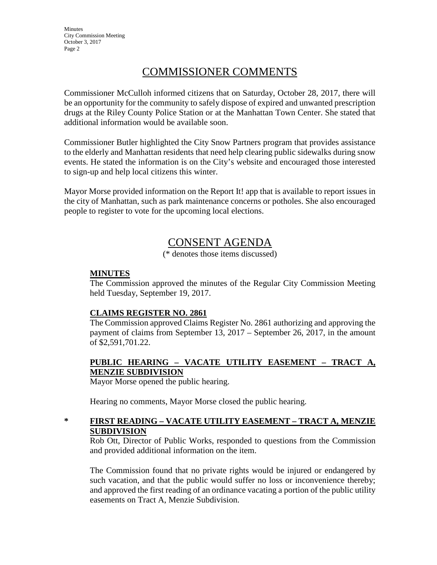**Minutes** City Commission Meeting October 3, 2017 Page 2

## COMMISSIONER COMMENTS

Commissioner McCulloh informed citizens that on Saturday, October 28, 2017, there will be an opportunity for the community to safely dispose of expired and unwanted prescription drugs at the Riley County Police Station or at the Manhattan Town Center. She stated that additional information would be available soon.

Commissioner Butler highlighted the City Snow Partners program that provides assistance to the elderly and Manhattan residents that need help clearing public sidewalks during snow events. He stated the information is on the City's website and encouraged those interested to sign-up and help local citizens this winter.

Mayor Morse provided information on the Report It! app that is available to report issues in the city of Manhattan, such as park maintenance concerns or potholes. She also encouraged people to register to vote for the upcoming local elections.

### CONSENT AGENDA

(\* denotes those items discussed)

### **MINUTES**

The Commission approved the minutes of the Regular City Commission Meeting held Tuesday, September 19, 2017.

#### **CLAIMS REGISTER NO. 2861**

The Commission approved Claims Register No. 2861 authorizing and approving the payment of claims from September 13, 2017 – September 26, 2017, in the amount of \$2,591,701.22.

### **PUBLIC HEARING – VACATE UTILITY EASEMENT – TRACT A, MENZIE SUBDIVISION**

Mayor Morse opened the public hearing.

Hearing no comments, Mayor Morse closed the public hearing.

#### **\* FIRST READING – VACATE UTILITY EASEMENT – TRACT A, MENZIE SUBDIVISION**

Rob Ott, Director of Public Works, responded to questions from the Commission and provided additional information on the item.

The Commission found that no private rights would be injured or endangered by such vacation, and that the public would suffer no loss or inconvenience thereby; and approved the first reading of an ordinance vacating a portion of the public utility easements on Tract A, Menzie Subdivision.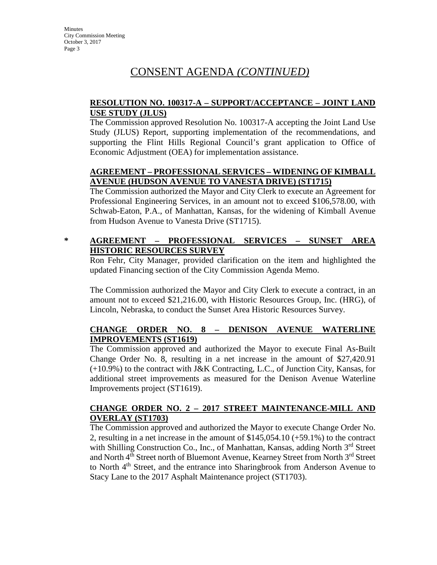# CONSENT AGENDA *(CONTINUED)*

#### **RESOLUTION NO. 100317-A – SUPPORT/ACCEPTANCE – JOINT LAND USE STUDY (JLUS)**

The Commission approved Resolution No. 100317-A accepting the Joint Land Use Study (JLUS) Report, supporting implementation of the recommendations, and supporting the Flint Hills Regional Council's grant application to Office of Economic Adjustment (OEA) for implementation assistance.

#### **AGREEMENT – PROFESSIONAL SERVICES – WIDENING OF KIMBALL AVENUE (HUDSON AVENUE TO VANESTA DRIVE) (ST1715)**

The Commission authorized the Mayor and City Clerk to execute an Agreement for Professional Engineering Services, in an amount not to exceed \$106,578.00, with Schwab-Eaton, P.A., of Manhattan, Kansas, for the widening of Kimball Avenue from Hudson Avenue to Vanesta Drive (ST1715).

### **\* AGREEMENT – PROFESSIONAL SERVICES – SUNSET AREA HISTORIC RESOURCES SURVEY**

Ron Fehr, City Manager, provided clarification on the item and highlighted the updated Financing section of the City Commission Agenda Memo.

The Commission authorized the Mayor and City Clerk to execute a contract, in an amount not to exceed \$21,216.00, with Historic Resources Group, Inc. (HRG), of Lincoln, Nebraska, to conduct the Sunset Area Historic Resources Survey.

### **CHANGE ORDER NO. 8 – DENISON AVENUE WATERLINE IMPROVEMENTS (ST1619)**

The Commission approved and authorized the Mayor to execute Final As-Built Change Order No. 8, resulting in a net increase in the amount of \$27,420.91 (+10.9%) to the contract with J&K Contracting, L.C., of Junction City, Kansas, for additional street improvements as measured for the Denison Avenue Waterline Improvements project (ST1619).

### **CHANGE ORDER NO. 2 – 2017 STREET MAINTENANCE-MILL AND OVERLAY (ST1703)**

The Commission approved and authorized the Mayor to execute Change Order No. 2, resulting in a net increase in the amount of \$145,054.10 (+59.1%) to the contract with Shilling Construction Co., Inc., of Manhattan, Kansas, adding North 3<sup>rd</sup> Street and North 4<sup>th</sup> Street north of Bluemont Avenue, Kearney Street from North 3<sup>rd</sup> Street to North 4<sup>th</sup> Street, and the entrance into Sharingbrook from Anderson Avenue to Stacy Lane to the 2017 Asphalt Maintenance project (ST1703).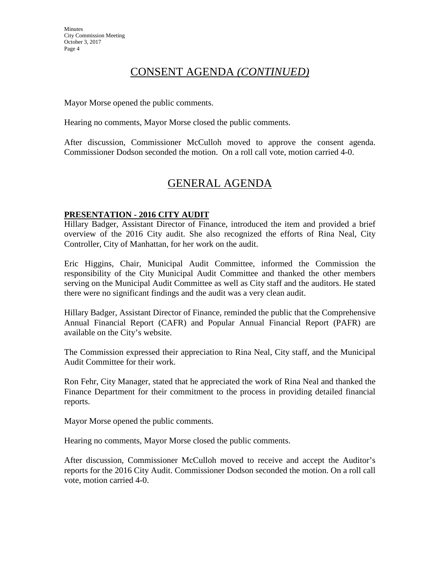## CONSENT AGENDA *(CONTINUED)*

Mayor Morse opened the public comments.

Hearing no comments, Mayor Morse closed the public comments.

After discussion, Commissioner McCulloh moved to approve the consent agenda. Commissioner Dodson seconded the motion. On a roll call vote, motion carried 4-0.

## GENERAL AGENDA

#### **PRESENTATION - 2016 CITY AUDIT**

Hillary Badger, Assistant Director of Finance, introduced the item and provided a brief overview of the 2016 City audit. She also recognized the efforts of Rina Neal, City Controller, City of Manhattan, for her work on the audit.

Eric Higgins, Chair, Municipal Audit Committee, informed the Commission the responsibility of the City Municipal Audit Committee and thanked the other members serving on the Municipal Audit Committee as well as City staff and the auditors. He stated there were no significant findings and the audit was a very clean audit.

Hillary Badger, Assistant Director of Finance, reminded the public that the Comprehensive Annual Financial Report (CAFR) and Popular Annual Financial Report (PAFR) are available on the City's website.

The Commission expressed their appreciation to Rina Neal, City staff, and the Municipal Audit Committee for their work.

Ron Fehr, City Manager, stated that he appreciated the work of Rina Neal and thanked the Finance Department for their commitment to the process in providing detailed financial reports.

Mayor Morse opened the public comments.

Hearing no comments, Mayor Morse closed the public comments.

After discussion, Commissioner McCulloh moved to receive and accept the Auditor's reports for the 2016 City Audit. Commissioner Dodson seconded the motion. On a roll call vote, motion carried 4-0.